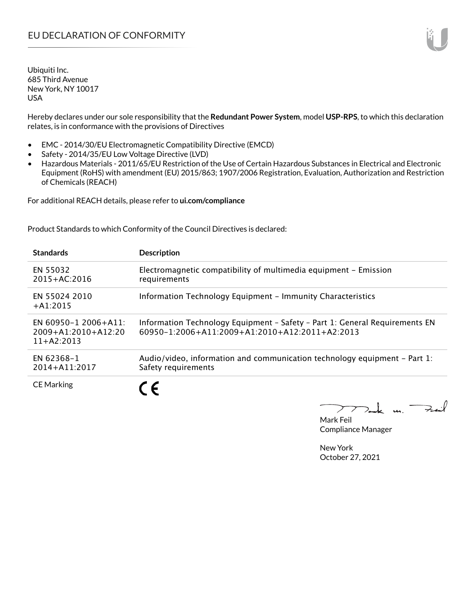Hereby declares under our sole responsibility that the **Redundant Power System**, model **USP-RPS**, to which this declaration relates, is in conformance with the provisions of Directives

- EMC 2014/30/EU Electromagnetic Compatibility Directive (EMCD)
- Safety 2014/35/EU Low Voltage Directive (LVD)
- Hazardous Materials 2011/65/EU Restriction of the Use of Certain Hazardous Substances in Electrical and Electronic Equipment (RoHS) with amendment (EU) 2015/863; 1907/2006 Registration, Evaluation, Authorization and Restriction of Chemicals (REACH)

For additional REACH details, please refer to **ui.com/compliance**

Product Standards to which Conformity of the Council Directives is declared:

| <b>Standards</b>                                                  | <b>Description</b>                                                                                                            |
|-------------------------------------------------------------------|-------------------------------------------------------------------------------------------------------------------------------|
| EN 55032<br>$2015 + AC:2016$                                      | Electromagnetic compatibility of multimedia equipment - Emission<br>requirements                                              |
| EN 55024 2010<br>$+ A1:2015$                                      | Information Technology Equipment - Immunity Characteristics                                                                   |
| EN 60950-1 2006+A11:<br>$2009 + A1:2010 + A12:20$<br>$11+42:2013$ | Information Technology Equipment - Safety - Part 1: General Requirements EN<br>60950-1:2006+A11:2009+A1:2010+A12:2011+A2:2013 |
| EN 62368-1<br>$2014 + A11:2017$                                   | Audio/video, information and communication technology equipment – Part 1:<br>Safety requirements                              |
| <b>CE Marking</b>                                                 |                                                                                                                               |

 $k$  un  $\rightarrow$  $\overline{\phantom{a}}$ 

Mark Feil Compliance Manager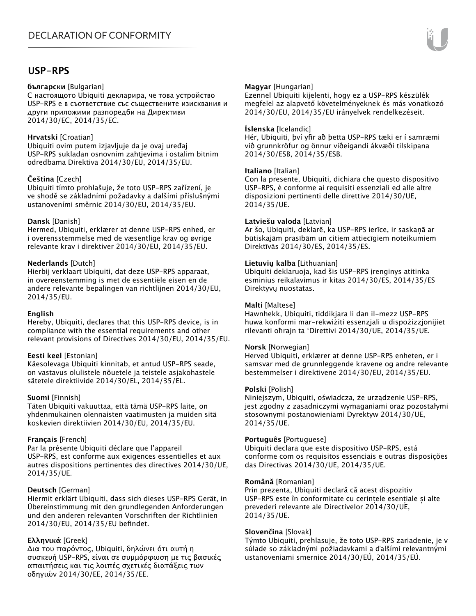### **USP-RPS**

#### **български** [Bulgarian]

С настоящото Ubiquiti декларира, че това устройство USP-RPS е в съответствие със съществените изисквания и други приложими разпоредби на Директиви 2014/30/ЕС, 2014/35/ЕС.

#### **Hrvatski** [Croatian]

Ubiquiti ovim putem izjavljuje da je ovaj uređaj USP-RPS sukladan osnovnim zahtjevima i ostalim bitnim odredbama Direktiva 2014/30/EU, 2014/35/EU.

#### **Čeština** [Czech]

Ubiquiti tímto prohlašuje, že toto USP-RPS zařízení, je ve shodě se základními požadavky a dalšími příslušnými ustanoveními směrnic 2014/30/EU, 2014/35/EU.

#### **Dansk** [Danish]

Hermed, Ubiquiti, erklærer at denne USP-RPS enhed, er i overensstemmelse med de væsentlige krav og øvrige relevante krav i direktiver 2014/30/EU, 2014/35/EU.

#### **Nederlands** [Dutch]

Hierbij verklaart Ubiquiti, dat deze USP-RPS apparaat, in overeenstemming is met de essentiële eisen en de andere relevante bepalingen van richtlijnen 2014/30/EU, 2014/35/EU.

#### **English**

Hereby, Ubiquiti, declares that this USP-RPS device, is in compliance with the essential requirements and other relevant provisions of Directives 2014/30/EU, 2014/35/EU.

#### **Eesti keel** [Estonian]

Käesolevaga Ubiquiti kinnitab, et antud USP-RPS seade, on vastavus olulistele nõuetele ja teistele asjakohastele sätetele direktiivide 2014/30/EL, 2014/35/EL.

#### **Suomi** [Finnish]

Täten Ubiquiti vakuuttaa, että tämä USP-RPS laite, on yhdenmukainen olennaisten vaatimusten ja muiden sitä koskevien direktiivien 2014/30/EU, 2014/35/EU.

#### **Français** [French]

Par la présente Ubiquiti déclare que l'appareil USP-RPS, est conforme aux exigences essentielles et aux autres dispositions pertinentes des directives 2014/30/UE, 2014/35/UE.

#### **Deutsch** [German]

Hiermit erklärt Ubiquiti, dass sich dieses USP-RPS Gerät, in Übereinstimmung mit den grundlegenden Anforderungen und den anderen relevanten Vorschriften der Richtlinien 2014/30/EU, 2014/35/EU befindet.

#### **Ελληνικά** [Greek]

Δια του παρόντος, Ubiquiti, δηλώνει ότι αυτή η συσκευή USP-RPS, είναι σε συμμόρφωση με τις βασικές απαιτήσεις και τις λοιπές σχετικές διατάξεις των οδηγιών 2014/30/EE, 2014/35/EE.

#### **Magyar** [Hungarian]

Ezennel Ubiquiti kijelenti, hogy ez a USP-RPS készülék megfelel az alapvető követelményeknek és más vonatkozó 2014/30/EU, 2014/35/EU irányelvek rendelkezéseit.

#### **Íslenska** [Icelandic]

Hér, Ubiquiti, því yfir að þetta USP-RPS tæki er í samræmi við grunnkröfur og önnur viðeigandi ákvæði tilskipana 2014/30/ESB, 2014/35/ESB.

#### **Italiano** [Italian]

Con la presente, Ubiquiti, dichiara che questo dispositivo USP-RPS, è conforme ai requisiti essenziali ed alle altre disposizioni pertinenti delle direttive 2014/30/UE, 2014/35/UE.

#### **Latviešu valoda** [Latvian]

Ar šo, Ubiquiti, deklarē, ka USP-RPS ierīce, ir saskaņā ar būtiskajām prasībām un citiem attiecīgiem noteikumiem Direktīvās 2014/30/ES, 2014/35/ES.

#### **Lietuvių kalba** [Lithuanian]

Ubiquiti deklaruoja, kad šis USP-RPS įrenginys atitinka esminius reikalavimus ir kitas 2014/30/ES, 2014/35/ES Direktyvų nuostatas.

#### **Malti** [Maltese]

Hawnhekk, Ubiquiti, tiddikjara li dan il-mezz USP-RPS huwa konformi mar-rekwiżiti essenzjali u dispożizzjonijiet rilevanti oħrajn ta 'Direttivi 2014/30/UE, 2014/35/UE.

#### **Norsk** [Norwegian]

Herved Ubiquiti, erklærer at denne USP-RPS enheten, er i samsvar med de grunnleggende kravene og andre relevante bestemmelser i direktivene 2014/30/EU, 2014/35/EU.

#### **Polski** [Polish]

Niniejszym, Ubiquiti, oświadcza, że urządzenie USP-RPS, jest zgodny z zasadniczymi wymaganiami oraz pozostałymi stosownymi postanowieniami Dyrektyw 2014/30/UE, 2014/35/UE.

#### **Português** [Portuguese]

Ubiquiti declara que este dispositivo USP-RPS, está conforme com os requisitos essenciais e outras disposições das Directivas 2014/30/UE, 2014/35/UE.

#### **Română** [Romanian]

Prin prezenta, Ubiquiti declară că acest dispozitiv USP-RPS este în conformitate cu cerințele esențiale și alte prevederi relevante ale Directivelor 2014/30/UE, 2014/35/UE.

#### **Slovenčina** [Slovak]

Týmto Ubiquiti, prehlasuje, že toto USP-RPS zariadenie, je v súlade so základnými požiadavkami a ďalšími relevantnými ustanoveniami smernice 2014/30/EÚ, 2014/35/EÚ.

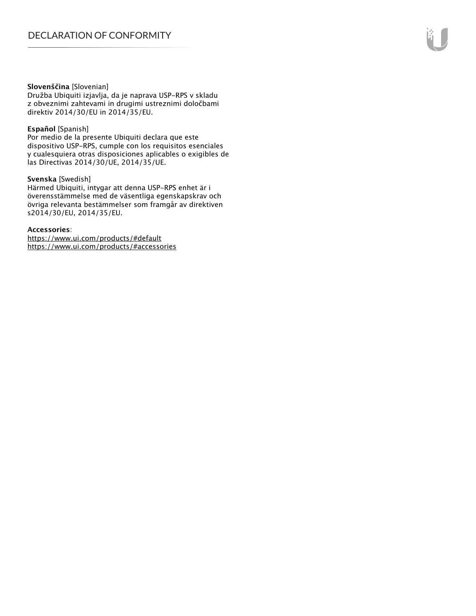#### **Slovenščina** [Slovenian]

Družba Ubiquiti izjavlja, da je naprava USP-RPS v skladu z obveznimi zahtevami in drugimi ustreznimi določbami direktiv 2014/30/EU in 2014/35/EU.

#### **Español** [Spanish]

Por medio de la presente Ubiquiti declara que este dispositivo USP-RPS, cumple con los requisitos esenciales y cualesquiera otras disposiciones aplicables o exigibles de las Directivas 2014/30/UE, 2014/35/UE.

#### **Svenska** [Swedish]

Härmed Ubiquiti, intygar att denna USP-RPS enhet är i överensstämmelse med de väsentliga egenskapskrav och övriga relevanta bestämmelser som framgår av direktiven s2014/30/EU, 2014/35/EU.

#### **Accessories**:

https://www.ui.com/products/#default https://www.ui.com/products/#accessories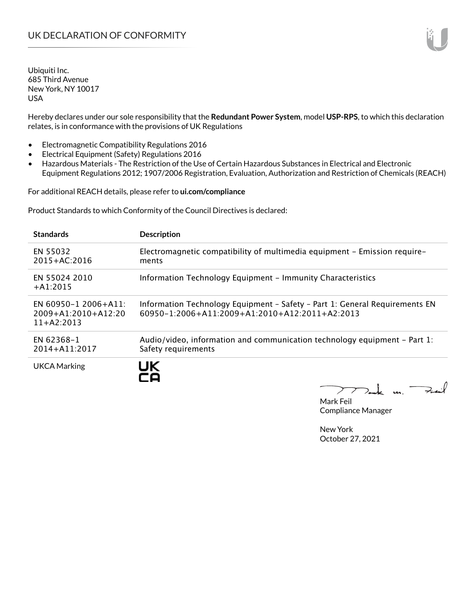Hereby declares under our sole responsibility that the **Redundant Power System**, model **USP-RPS**, to which this declaration relates, is in conformance with the provisions of UK Regulations

- Electromagnetic Compatibility Regulations 2016
- Electrical Equipment (Safety) Regulations 2016
- Hazardous Materials The Restriction of the Use of Certain Hazardous Substances in Electrical and Electronic Equipment Regulations 2012; 1907/2006 Registration, Evaluation, Authorization and Restriction of Chemicals (REACH)

For additional REACH details, please refer to **ui.com/compliance**

Product Standards to which Conformity of the Council Directives is declared:

| <b>Standards</b>                                                       | <b>Description</b>                                                                                                                        |
|------------------------------------------------------------------------|-------------------------------------------------------------------------------------------------------------------------------------------|
| EN 55032<br>$2015 + AC:2016$                                           | Electromagnetic compatibility of multimedia equipment - Emission require-<br>ments                                                        |
| EN 55024 2010<br>$+A1:2015$                                            | Information Technology Equipment - Immunity Characteristics                                                                               |
| $EN 60950 - 1 2006 + A11$<br>$2009 + A1:2010 + A12:20$<br>$11+AA:2013$ | Information Technology Equipment - Safety - Part 1: General Requirements EN<br>$60950 - 1:2006 + A11:2009 + A1:2010 + A12:2011 + A2:2013$ |
| EN 62368-1<br>$2014 + A11:2017$                                        | Audio/video, information and communication technology equipment – Part 1:<br>Safety requirements                                          |
| <b>UKCA Marking</b>                                                    | UK<br><b>SAA</b>                                                                                                                          |

Mak m. Mark Feil Compliance Manager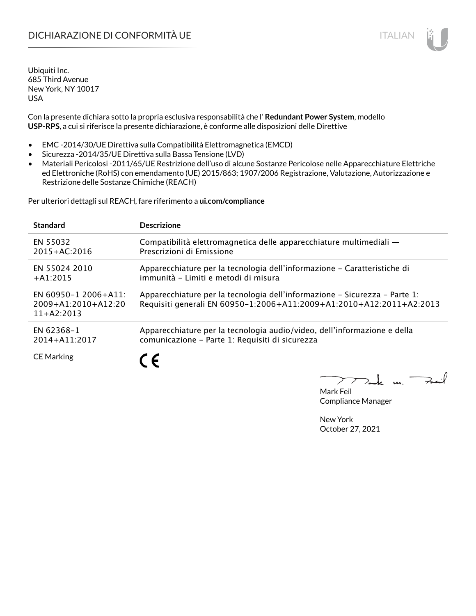# DICHIARAZIONE DI CONFORMITÀ UE ITALIAN ITALIAN

Ubiquiti Inc. 685 Third Avenue New York, NY 10017 USA

Con la presente dichiara sotto la propria esclusiva responsabilità che l' **Redundant Power System**, modello **USP-RPS**, a cui si riferisce la presente dichiarazione, è conforme alle disposizioni delle Direttive

- EMC -2014/30/UE Direttiva sulla Compatibilità Elettromagnetica (EMCD)
- Sicurezza -2014/35/UE Direttiva sulla Bassa Tensione (LVD)
- Materiali Pericolosi -2011/65/UE Restrizione dell'uso di alcune Sostanze Pericolose nelle Apparecchiature Elettriche ed Elettroniche (RoHS) con emendamento (UE) 2015/863; 1907/2006 Registrazione, Valutazione, Autorizzazione e Restrizione delle Sostanze Chimiche (REACH)

Per ulteriori dettagli sul REACH, fare riferimento a **ui.com/compliance**

| <b>Standard</b>                                                   | <b>Descrizione</b>                                                                                                                                 |
|-------------------------------------------------------------------|----------------------------------------------------------------------------------------------------------------------------------------------------|
| EN 55032                                                          | Compatibilità elettromagnetica delle apparecchiature multimediali -                                                                                |
| $2015 + AC:2016$                                                  | Prescrizioni di Emissione                                                                                                                          |
| EN 55024 2010                                                     | Apparecchiature per la tecnologia dell'informazione – Caratteristiche di                                                                           |
| $+A1:2015$                                                        | immunità - Limiti e metodi di misura                                                                                                               |
| EN 60950-1 2006+A11:<br>$2009 + A1:2010 + A12:20$<br>$11+AA:2013$ | Apparecchiature per la tecnologia dell'informazione – Sicurezza – Parte 1:<br>Requisiti generali EN 60950-1:2006+A11:2009+A1:2010+A12:2011+A2:2013 |
| EN 62368-1                                                        | Apparecchiature per la tecnologia audio/video, dell'informazione e della                                                                           |
| 2014+A11:2017                                                     | comunicazione - Parte 1: Requisiti di sicurezza                                                                                                    |
| <b>CE Marking</b>                                                 | $\epsilon$                                                                                                                                         |

 $\mathbf{u}$ 

Mark Feil Compliance Manager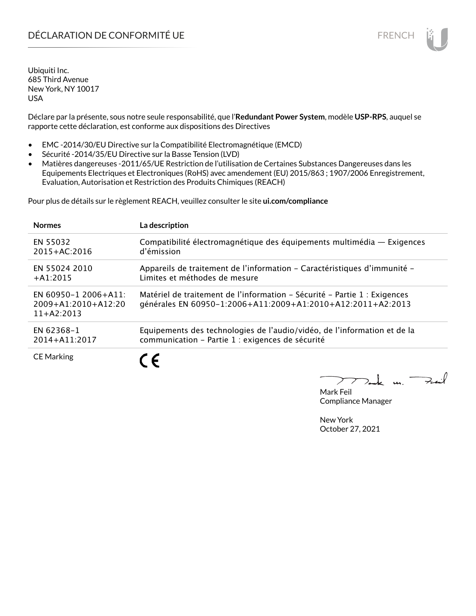# DÉCLARATION DE CONFORMITÉ UE EN ENCHANGEMENT DE CONFORMITÉ UNE ENCHANGEMENT DE CONFORMITÉ UNE ENCHANGEMENT DE

Ubiquiti Inc. 685 Third Avenue New York, NY 10017 USA

Déclare par la présente, sous notre seule responsabilité, que l'**Redundant Power System**, modèle **USP-RPS**, auquel se rapporte cette déclaration, est conforme aux dispositions des Directives

- EMC -2014/30/EU Directive sur la Compatibilité Electromagnétique (EMCD)
- Sécurité -2014/35/EU Directive sur la Basse Tension (LVD)
- Matières dangereuses -2011/65/UE Restriction de l'utilisation de Certaines Substances Dangereuses dans les Equipements Electriques et Electroniques (RoHS) avec amendement (EU) 2015/863 ; 1907/2006 Enregistrement, Evaluation, Autorisation et Restriction des Produits Chimiques (REACH)

Pour plus de détails sur le règlement REACH, veuillez consulter le site **ui.com/compliance**

| <b>Normes</b>                                                 | La description                                                                                                                           |
|---------------------------------------------------------------|------------------------------------------------------------------------------------------------------------------------------------------|
| EN 55032                                                      | Compatibilité électromagnétique des équipements multimédia - Exigences                                                                   |
| $2015 + AC:2016$                                              | d'émission                                                                                                                               |
| EN 55024 2010                                                 | Appareils de traitement de l'information – Caractéristiques d'immunité –                                                                 |
| $+$ A1:2015                                                   | Limites et méthodes de mesure                                                                                                            |
| EN 60950-1 2006+A11:<br>$2009+A1:2010+A12:20$<br>$11+42:2013$ | Matériel de traitement de l'information - Sécurité - Partie 1 : Exigences<br>générales EN 60950-1:2006+A11:2009+A1:2010+A12:2011+A2:2013 |
| EN 62368-1                                                    | Equipements des technologies de l'audio/vidéo, de l'information et de la                                                                 |
| 2014+A11:2017                                                 | communication - Partie 1 : exigences de sécurité                                                                                         |
| <b>CE Marking</b>                                             | ←                                                                                                                                        |

 $\mathbf{u}$ 

Mark Feil Compliance Manager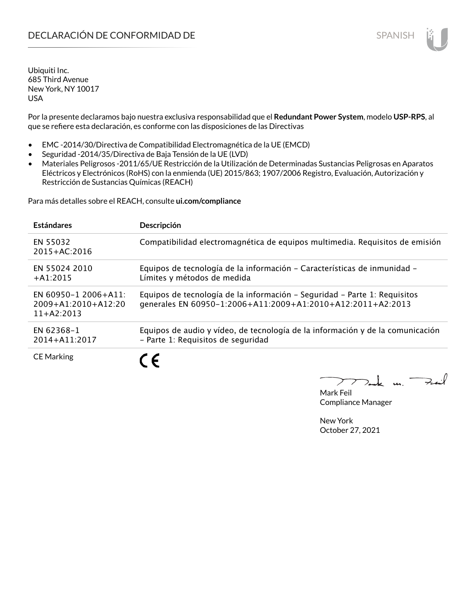Por la presente declaramos bajo nuestra exclusiva responsabilidad que el **Redundant Power System**, modelo **USP-RPS**, al que se refiere esta declaración, es conforme con las disposiciones de las Directivas

- EMC -2014/30/Directiva de Compatibilidad Electromagnética de la UE (EMCD)
- Seguridad -2014/35/Directiva de Baja Tensión de la UE (LVD)
- Materiales Peligrosos -2011/65/UE Restricción de la Utilización de Determinadas Sustancias Peligrosas en Aparatos Eléctricos y Electrónicos (RoHS) con la enmienda (UE) 2015/863; 1907/2006 Registro, Evaluación, Autorización y Restricción de Sustancias Químicas (REACH)

Para más detalles sobre el REACH, consulte **ui.com/compliance**

| <b>Estándares</b>                                             | Descripción                                                                                                                              |
|---------------------------------------------------------------|------------------------------------------------------------------------------------------------------------------------------------------|
| EN 55032<br>$2015 + AC:2016$                                  | Compatibilidad electromagnética de equipos multimedia. Requisitos de emisión                                                             |
| EN 55024 2010<br>$+A1:2015$                                   | Equipos de tecnología de la información - Características de inmunidad -<br>Límites y métodos de medida                                  |
| EN 60950-1 2006+A11:<br>$2009+A1:2010+A12:20$<br>$11+AA:2013$ | Equipos de tecnología de la información - Seguridad - Parte 1: Requisitos<br>generales EN 60950-1:2006+A11:2009+A1:2010+A12:2011+A2:2013 |
| EN 62368-1<br>2014+A11:2017                                   | Equipos de audio y vídeo, de tecnología de la información y de la comunicación<br>- Parte 1: Requisitos de seguridad                     |
| <b>CE Marking</b>                                             |                                                                                                                                          |

m. Fail

Mark Feil Compliance Manager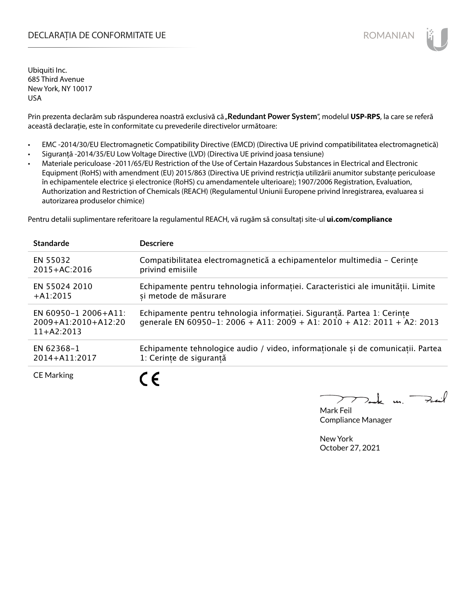### DECLARAȚIA DE CONFORMITATE UE EXECUTE DE ROMANIAN

Ubiquiti Inc. 685 Third Avenue New York, NY 10017 USA

Prin prezenta declarăm sub răspunderea noastră exclusivă că "Redundant Power System", modelul USP-RPS, la care se referă această declarație, este în conformitate cu prevederile directivelor următoare:

- EMC -2014/30/EU Electromagnetic Compatibility Directive (EMCD) (Directiva UE privind compatibilitatea electromagnetică)
- Siguranță -2014/35/EU Low Voltage Directive (LVD) (Directiva UE privind joasa tensiune)
- Materiale periculoase -2011/65/EU Restriction of the Use of Certain Hazardous Substances in Electrical and Electronic Equipment (RoHS) with amendment (EU) 2015/863 (Directiva UE privind restricția utilizării anumitor substanțe periculoase în echipamentele electrice și electronice (RoHS) cu amendamentele ulterioare); 1907/2006 Registration, Evaluation, Authorization and Restriction of Chemicals (REACH) (Regulamentul Uniunii Europene privind înregistrarea, evaluarea si autorizarea produselor chimice)

Pentru detalii suplimentare referitoare la regulamentul REACH, vă rugăm să consultați site-ul **ui.com/compliance**

| <b>Standarde</b>                                              | <b>Descriere</b>                                                                                                                                   |
|---------------------------------------------------------------|----------------------------------------------------------------------------------------------------------------------------------------------------|
| EN 55032                                                      | Compatibilitatea electromagnetică a echipamentelor multimedia - Cerințe                                                                            |
| $2015 + AC:2016$                                              | privind emisiile                                                                                                                                   |
| EN 55024 2010                                                 | Echipamente pentru tehnologia informației. Caracteristici ale imunității. Limite                                                                   |
| $+A1:2015$                                                    | si metode de măsurare                                                                                                                              |
| EN 60950-1 2006+A11:<br>$2009+A1:2010+A12:20$<br>$11+AA:2013$ | Echipamente pentru tehnologia informației. Siguranță. Partea 1: Cerințe<br>generale EN 60950-1: 2006 + A11: 2009 + A1: 2010 + A12: 2011 + A2: 2013 |
| EN 62368-1                                                    | Echipamente tehnologice audio / video, informaționale și de comunicații. Partea                                                                    |
| 2014+A11:2017                                                 | 1: Cerințe de siguranță                                                                                                                            |
| <b>CE Marking</b>                                             | $\epsilon$                                                                                                                                         |

k m. –

Mark Feil Compliance Manager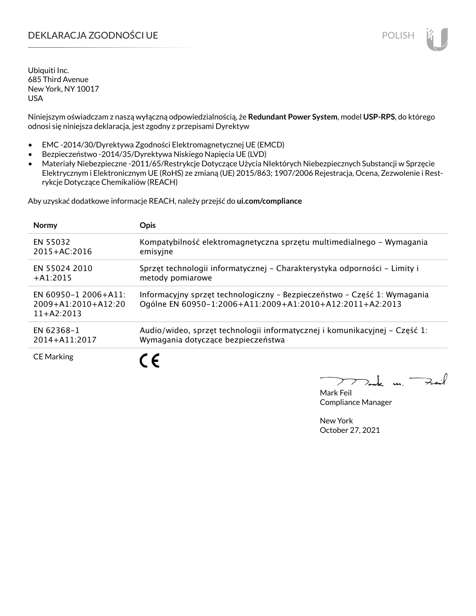# DEKLARACJA ZGODNOŚCI UE POLISH POLISH

Ubiquiti Inc. 685 Third Avenue New York, NY 10017 USA

Niniejszym oświadczam z naszą wyłączną odpowiedzialnością, że **Redundant Power System**, model **USP-RPS**, do którego odnosi się niniejsza deklaracja, jest zgodny z przepisami Dyrektyw

- EMC -2014/30/Dyrektywa Zgodności Elektromagnetycznej UE (EMCD)
- Bezpieczeństwo -2014/35/Dyrektywa Niskiego Napięcia UE (LVD)
- Materiały Niebezpieczne -2011/65/Restrykcje Dotyczące Użycia NIektórych Niebezpiecznych Substancji w Sprzęcie Elektrycznym i Elektronicznym UE (RoHS) ze zmianą (UE) 2015/863; 1907/2006 Rejestracja, Ocena, Zezwolenie i Restrykcje Dotyczące Chemikaliów (REACH)

Aby uzyskać dodatkowe informacje REACH, należy przejść do **ui.com/compliance**

| <b>Normy</b>                                                  | <b>Opis</b>                                                                                                                          |
|---------------------------------------------------------------|--------------------------------------------------------------------------------------------------------------------------------------|
| EN 55032                                                      | Kompatybilność elektromagnetyczna sprzętu multimedialnego – Wymagania                                                                |
| $2015 + AC:2016$                                              | emisyjne                                                                                                                             |
| EN 55024 2010                                                 | Sprzęt technologii informatycznej – Charakterystyka odporności – Limity i                                                            |
| $+A1:2015$                                                    | metody pomiarowe                                                                                                                     |
| EN 60950-1 2006+A11:<br>$2009+A1:2010+A12:20$<br>$11+42:2013$ | Informacyjny sprzęt technologiczny - Bezpieczeństwo - Część 1: Wymagania<br>Ogólne EN 60950-1:2006+A11:2009+A1:2010+A12:2011+A2:2013 |
| EN 62368-1                                                    | Audio/wideo, sprzęt technologii informatycznej i komunikacyjnej – Część 1:                                                           |
| 2014+A11:2017                                                 | Wymagania dotyczące bezpieczeństwa                                                                                                   |
| <b>CE Marking</b>                                             |                                                                                                                                      |

Mark Feil Compliance Manager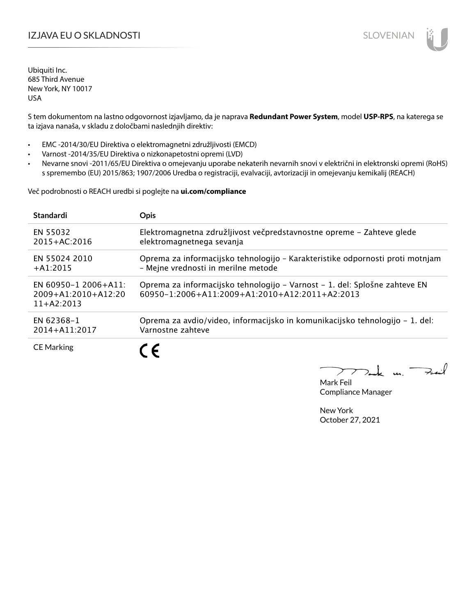# IZJAVA EU O SKLADNOSTI SLOVENIAN

Ubiquiti Inc. 685 Third Avenue New York, NY 10017 USA

S tem dokumentom na lastno odgovornost izjavljamo, da je naprava **Redundant Power System**, model **USP-RPS**, na katerega se ta izjava nanaša, v skladu z določbami naslednjih direktiv:

- EMC -2014/30/EU Direktiva o elektromagnetni združljivosti (EMCD)
- Varnost -2014/35/EU Direktiva o nizkonapetostni opremi (LVD)
- Nevarne snovi -2011/65/EU Direktiva o omejevanju uporabe nekaterih nevarnih snovi v električni in elektronski opremi (RoHS) s spremembo (EU) 2015/863; 1907/2006 Uredba o registraciji, evalvaciji, avtorizaciji in omejevanju kemikalij (REACH)

Več podrobnosti o REACH uredbi si poglejte na **ui.com/compliance**

| <b>Standardi</b>                                                  | <b>Opis</b>                                                                                                                  |
|-------------------------------------------------------------------|------------------------------------------------------------------------------------------------------------------------------|
| EN 55032                                                          | Elektromagnetna združljivost večpredstavnostne opreme – Zahteve glede                                                        |
| $2015 + AC:2016$                                                  | elektromagnetnega sevanja                                                                                                    |
| EN 55024 2010                                                     | Oprema za informacijsko tehnologijo - Karakteristike odpornosti proti motnjam                                                |
| $+A1:2015$                                                        | - Mejne vrednosti in merilne metode                                                                                          |
| EN 60950-1 2006+A11:<br>$2009 + A1:2010 + A12:20$<br>$11+AA:2013$ | Oprema za informacijsko tehnologijo – Varnost – 1. del: Splošne zahteve EN<br>60950-1:2006+A11:2009+A1:2010+A12:2011+A2:2013 |
| EN 62368-1                                                        | Oprema za avdio/video, informacijsko in komunikacijsko tehnologijo – 1. del:                                                 |
| 2014+A11:2017                                                     | Varnostne zahteve                                                                                                            |
| <b>CE Marking</b>                                                 | C E                                                                                                                          |

 $k$  un  $\rightarrow$ 

Mark Feil Compliance Manager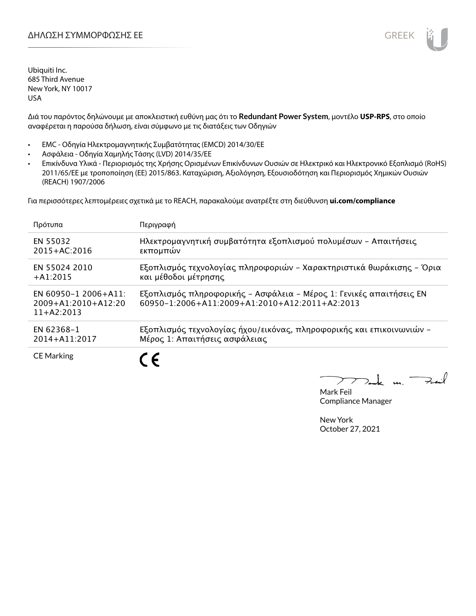

Διά του παρόντος δηλώνουμε με αποκλειστική ευθύνη μας ότι το **Redundant Power System**, μοντέλο **USP-RPS**, στο οποίο αναφέρεται η παρούσα δήλωση, είναι σύμφωνο με τις διατάξεις των Οδηγιών

- EMC Οδηγία Ηλεκτρομαγνητικής Συμβατότητας (EMCD) 2014/30/ΕΕ
- Ασφάλεια Οδηγία Χαμηλής Τάσης (LVD) 2014/35/ΕΕ
- Επικίνδυνα Υλικά Περιορισμός της Χρήσης Ορισμένων Επικίνδυνων Ουσιών σε Ηλεκτρικό και Ηλεκτρονικό Εξοπλισμό (RoHS) 2011/65/ΕΕ με τροποποίηση (ΕΕ) 2015/863. Καταχώριση, Αξιολόγηση, Εξουσιοδότηση και Περιορισμός Χημικών Ουσιών (REACH) 1907/2006

Για περισσότερες λεπτομέρειες σχετικά με το REACH, παρακαλούμε ανατρέξτε στη διεύθυνση **ui.com/compliance**

| Πρότυπα                                                           | Περιγραφή                                                                                                             |
|-------------------------------------------------------------------|-----------------------------------------------------------------------------------------------------------------------|
| EN 55032                                                          | Ηλεκτρομαγνητική συμβατότητα εξοπλισμού πολυμέσων - Απαιτήσεις                                                        |
| $2015 + AC:2016$                                                  | εκπομπών                                                                                                              |
| EN 55024 2010                                                     | Εξοπλισμός τεχνολογίας πληροφοριών - Χαρακτηριστικά θωράκισης - Όρια                                                  |
| $+A1:2015$                                                        | και μέθοδοι μέτρησης                                                                                                  |
| EN 60950-1 2006+A11:<br>$2009 + A1:2010 + A12:20$<br>$11+42:2013$ | Εξοπλισμός πληροφορικής - Ασφάλεια - Μέρος 1: Γενικές απαιτήσεις ΕΝ<br>60950-1:2006+A11:2009+A1:2010+A12:2011+A2:2013 |
| EN 62368-1                                                        | Εξοπλισμός τεχνολογίας ήχου/εικόνας, πληροφορικής και επικοινωνιών -                                                  |
| 2014+A11:2017                                                     | Μέρος 1: Απαιτήσεις ασφάλειας                                                                                         |
| <b>CE Marking</b>                                                 |                                                                                                                       |

 $\overline{u}$ . Fail

Mark Feil Compliance Manager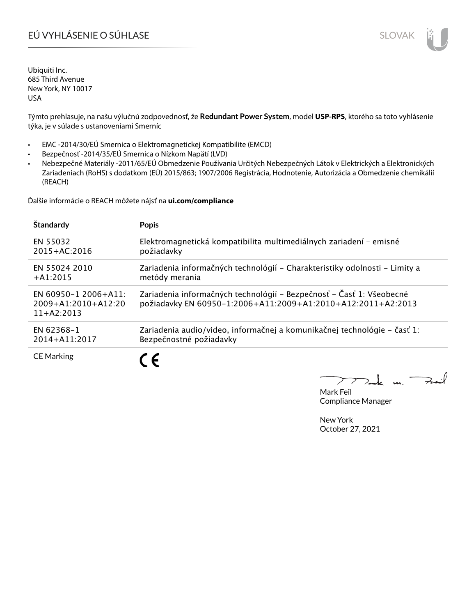# EÚ VYHLÁSENIE O SÚHLASE SLOVAK SLOVAK

Ubiquiti Inc. 685 Third Avenue New York, NY 10017 USA

Týmto prehlasuje, na našu výlučnú zodpovednosť, že **Redundant Power System**, model **USP-RPS**, ktorého sa toto vyhlásenie týka, je v súlade s ustanoveniami Smerníc

- EMC -2014/30/EÚ Smernica o Elektromagnetickej Kompatibilite (EMCD)
- Bezpečnosť -2014/35/EÚ Smernica o Nízkom Napätí (LVD)
- Nebezpečné Materiály -2011/65/EÚ Obmedzenie Používania Určitých Nebezpečných Látok v Elektrických a Elektronických Zariadeniach (RoHS) s dodatkom (EÚ) 2015/863; 1907/2006 Registrácia, Hodnotenie, Autorizácia a Obmedzenie chemikálií (REACH)

Ďalšie informácie o REACH môžete nájsť na **ui.com/compliance**

| Štandardy                                                     | <b>Popis</b>                                                                                                                         |
|---------------------------------------------------------------|--------------------------------------------------------------------------------------------------------------------------------------|
| EN 55032                                                      | Elektromagnetická kompatibilita multimediálnych zariadení - emisné                                                                   |
| $2015 + AC:2016$                                              | požiadavky                                                                                                                           |
| EN 55024 2010                                                 | Zariadenia informačných technológií – Charakteristiky odolnosti – Limity a                                                           |
| $+A1:2015$                                                    | metódy merania                                                                                                                       |
| EN 60950-1 2006+A11:<br>$2009+A1:2010+A12:20$<br>$11+AA:2013$ | Zariadenia informačných technológií – Bezpečnosť – Časť 1: Všeobecné<br>požiadavky EN 60950-1:2006+A11:2009+A1:2010+A12:2011+A2:2013 |
| EN 62368-1                                                    | Zariadenia audio/video, informačnej a komunikačnej technológie - časť 1:                                                             |
| 2014+A11:2017                                                 | Bezpečnostné požiadavky                                                                                                              |
| <b>CE Marking</b>                                             |                                                                                                                                      |

كمنعة  $\frac{1}{2}$ 

Mark Feil Compliance Manager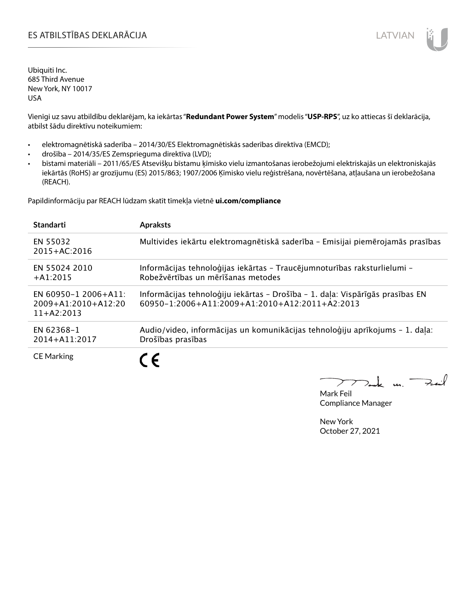### ES ATBILSTĪBAS DEKLARĀCIJA LATVIAN

Ubiquiti Inc. 685 Third Avenue New York, NY 10017 USA

Vienīgi uz savu atbildību deklarējam, ka iekārtas "**Redundant Power System**" modelis "**USP-RPS**", uz ko attiecas šī deklarācija, atbilst šādu direktīvu noteikumiem:

- elektromagnētiskā saderība 2014/30/ES Elektromagnētiskās saderības direktīva (EMCD);
- drošība 2014/35/ES Zemsprieguma direktīva (LVD);
- bīstami materiāli 2011/65/ES Atsevišķu bīstamu ķīmisko vielu izmantošanas ierobežojumi elektriskajās un elektroniskajās iekārtās (RoHS) ar grozījumu (ES) 2015/863; 1907/2006 Ķīmisko vielu reģistrēšana, novērtēšana, atļaušana un ierobežošana (REACH).

Papildinformāciju par REACH lūdzam skatīt tīmekļa vietnē **ui.com/compliance**

| <b>Standarti</b>                                                  | <b>Apraksts</b>                                                                                                                 |
|-------------------------------------------------------------------|---------------------------------------------------------------------------------------------------------------------------------|
| EN 55032<br>$2015 + AC:2016$                                      | Multivides iekārtu elektromagnētiskā saderība - Emisijai piemērojamās prasības                                                  |
| EN 55024 2010<br>$+A1:2015$                                       | Informācijas tehnoloģijas iekārtas - Traucējumnoturības raksturlielumi -<br>Robežvērtības un mērīšanas metodes                  |
| EN 60950-1 2006+A11:<br>$2009 + A1:2010 + A12:20$<br>$11+42:2013$ | Informācijas tehnoloģiju iekārtas - Drošība - 1. daļa: Vispārīgās prasības EN<br>60950-1:2006+A11:2009+A1:2010+A12:2011+A2:2013 |
| EN 62368-1<br>2014+A11:2017                                       | Audio/video, informācijas un komunikācijas tehnoloģiju aprīkojums - 1. daļa:<br>Drošības prasības                               |
| <b>CE Marking</b>                                                 |                                                                                                                                 |

m. Fail

Mark Feil Compliance Manager